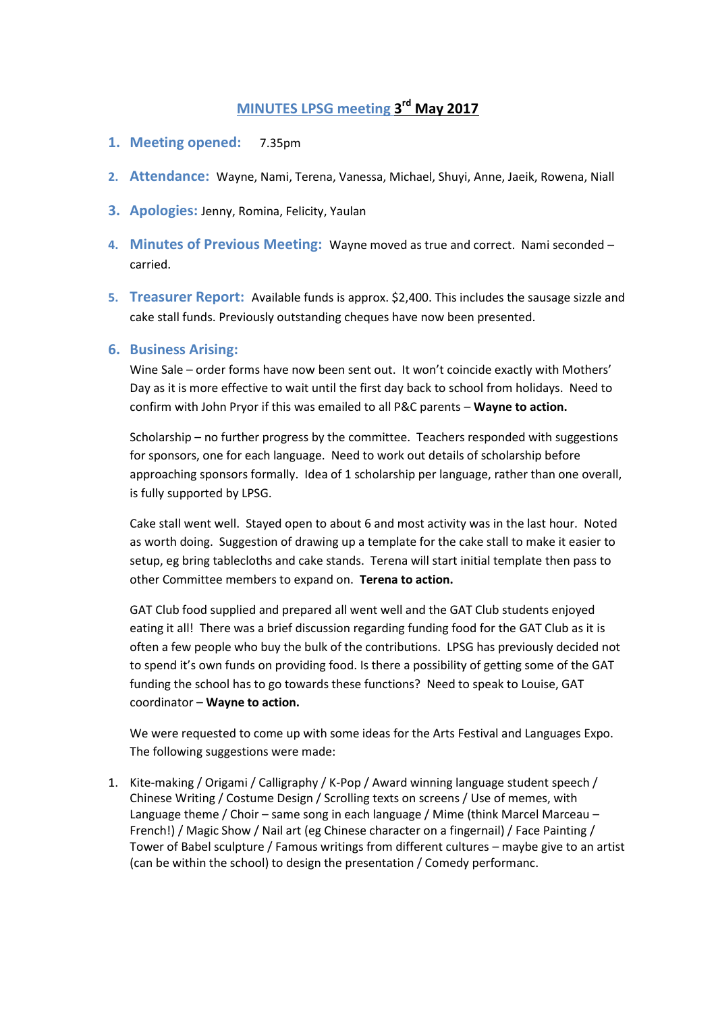# **MINUTES LPSG meeting 3 rd May 2017**

- **1. Meeting opened:** 7.35pm
- **2. Attendance:** Wayne, Nami, Terena, Vanessa, Michael, Shuyi, Anne, Jaeik, Rowena, Niall
- **3. Apologies:** Jenny, Romina, Felicity, Yaulan
- **4. Minutes of Previous Meeting:** Wayne moved as true and correct. Nami seconded carried.
- **5. Treasurer Report:** Available funds is approx. \$2,400. This includes the sausage sizzle and cake stall funds. Previously outstanding cheques have now been presented.

### **6. Business Arising:**

Wine Sale – order forms have now been sent out. It won't coincide exactly with Mothers' Day as it is more effective to wait until the first day back to school from holidays. Need to confirm with John Pryor if this was emailed to all P&C parents – **Wayne to action.**

Scholarship – no further progress by the committee. Teachers responded with suggestions for sponsors, one for each language. Need to work out details of scholarship before approaching sponsors formally. Idea of 1 scholarship per language, rather than one overall, is fully supported by LPSG.

Cake stall went well. Stayed open to about 6 and most activity was in the last hour. Noted as worth doing. Suggestion of drawing up a template for the cake stall to make it easier to setup, eg bring tablecloths and cake stands. Terena will start initial template then pass to other Committee members to expand on. **Terena to action.**

GAT Club food supplied and prepared all went well and the GAT Club students enjoyed eating it all! There was a brief discussion regarding funding food for the GAT Club as it is often a few people who buy the bulk of the contributions. LPSG has previously decided not to spend it's own funds on providing food. Is there a possibility of getting some of the GAT funding the school has to go towards these functions? Need to speak to Louise, GAT coordinator – **Wayne to action.**

We were requested to come up with some ideas for the Arts Festival and Languages Expo. The following suggestions were made:

1. Kite-making / Origami / Calligraphy / K-Pop / Award winning language student speech / Chinese Writing / Costume Design / Scrolling texts on screens / Use of memes, with Language theme / Choir – same song in each language / Mime (think Marcel Marceau – French!) / Magic Show / Nail art (eg Chinese character on a fingernail) / Face Painting / Tower of Babel sculpture / Famous writings from different cultures – maybe give to an artist (can be within the school) to design the presentation / Comedy performanc.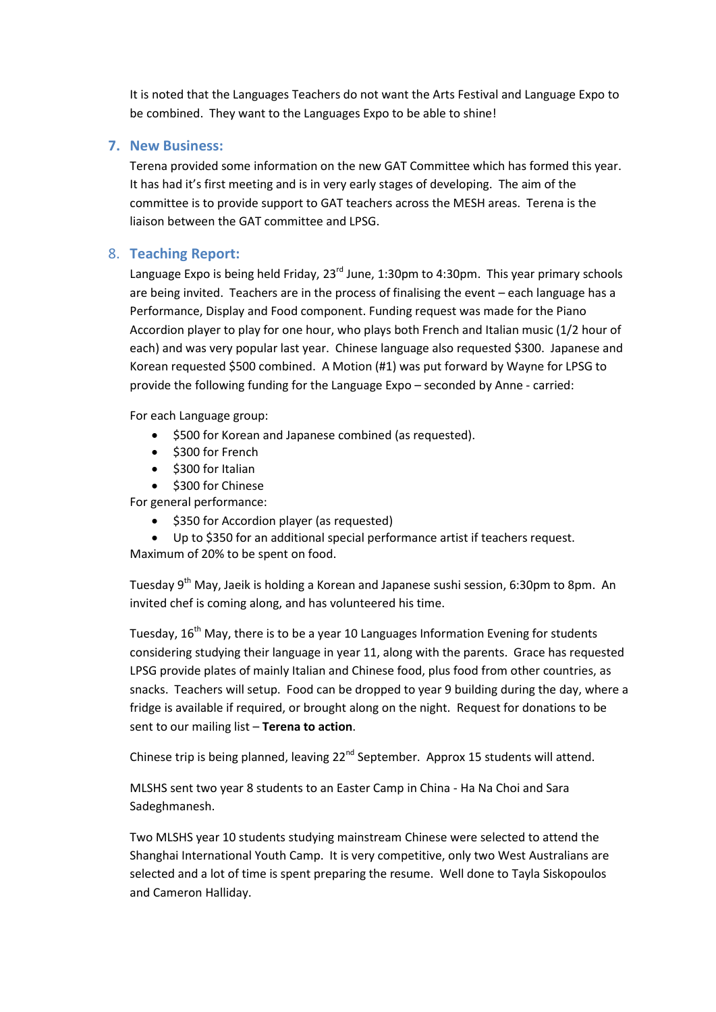It is noted that the Languages Teachers do not want the Arts Festival and Language Expo to be combined. They want to the Languages Expo to be able to shine!

## **7. New Business:**

Terena provided some information on the new GAT Committee which has formed this year. It has had it's first meeting and is in very early stages of developing. The aim of the committee is to provide support to GAT teachers across the MESH areas. Terena is the liaison between the GAT committee and LPSG.

# 8. **Teaching Report:**

Language Expo is being held Friday, 23<sup>rd</sup> June, 1:30pm to 4:30pm. This year primary schools are being invited. Teachers are in the process of finalising the event – each language has a Performance, Display and Food component. Funding request was made for the Piano Accordion player to play for one hour, who plays both French and Italian music (1/2 hour of each) and was very popular last year. Chinese language also requested \$300. Japanese and Korean requested \$500 combined. A Motion (#1) was put forward by Wayne for LPSG to provide the following funding for the Language Expo – seconded by Anne - carried:

For each Language group:

- \$500 for Korean and Japanese combined (as requested).
- $\bullet$  \$300 for French
- $\bullet$  \$300 for Italian

 $\bullet$  \$300 for Chinese

For general performance:

- \$350 for Accordion player (as requested)
- Up to \$350 for an additional special performance artist if teachers request. Maximum of 20% to be spent on food.

Tuesday 9<sup>th</sup> May, Jaeik is holding a Korean and Japanese sushi session, 6:30pm to 8pm. An invited chef is coming along, and has volunteered his time.

Tuesday, 16<sup>th</sup> May, there is to be a year 10 Languages Information Evening for students considering studying their language in year 11, along with the parents. Grace has requested LPSG provide plates of mainly Italian and Chinese food, plus food from other countries, as snacks. Teachers will setup. Food can be dropped to year 9 building during the day, where a fridge is available if required, or brought along on the night. Request for donations to be sent to our mailing list – **Terena to action**.

Chinese trip is being planned, leaving 22<sup>nd</sup> September. Approx 15 students will attend.

MLSHS sent two year 8 students to an Easter Camp in China - Ha Na Choi and Sara Sadeghmanesh.

Two MLSHS year 10 students studying mainstream Chinese were selected to attend the Shanghai International Youth Camp. It is very competitive, only two West Australians are selected and a lot of time is spent preparing the resume. Well done to Tayla Siskopoulos and Cameron Halliday.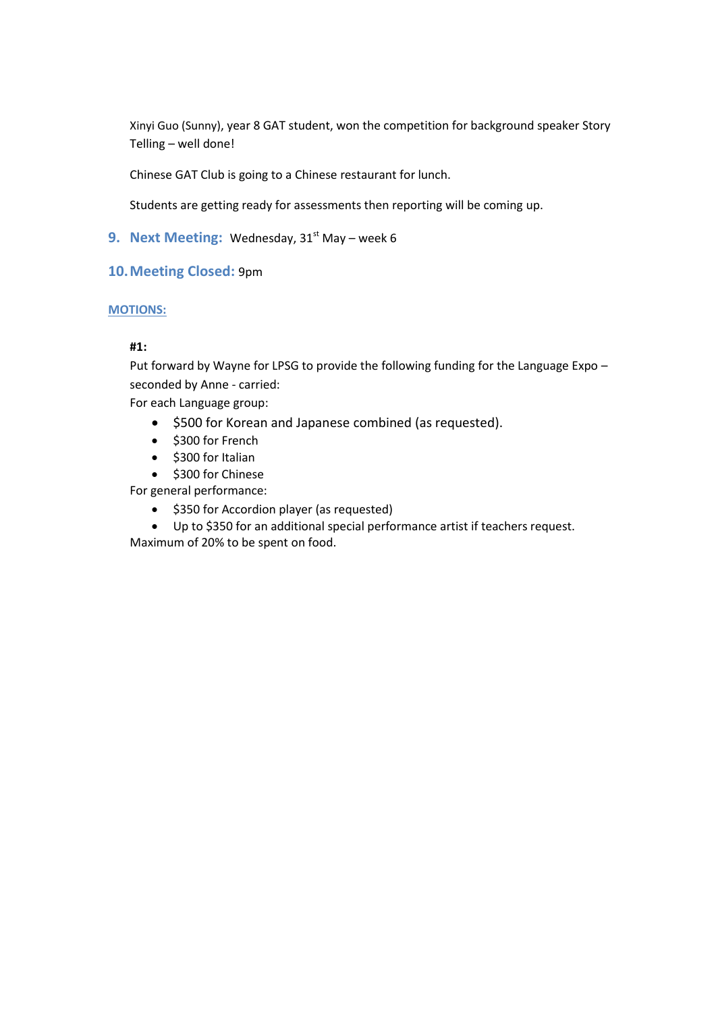Xinyi Guo (Sunny), year 8 GAT student, won the competition for background speaker Story Telling – well done!

Chinese GAT Club is going to a Chinese restaurant for lunch.

Students are getting ready for assessments then reporting will be coming up.

**9. Next Meeting:** Wednesday, 31<sup>st</sup> May – week 6

### **10.Meeting Closed:** 9pm

### **MOTIONS:**

### **#1:**

Put forward by Wayne for LPSG to provide the following funding for the Language Expo – seconded by Anne - carried:

For each Language group:

- $\bullet$  \$500 for Korean and Japanese combined (as requested).
- \$300 for French
- \$300 for Italian
- $\bullet$  \$300 for Chinese

For general performance:

- \$350 for Accordion player (as requested)
- Up to \$350 for an additional special performance artist if teachers request.

Maximum of 20% to be spent on food.